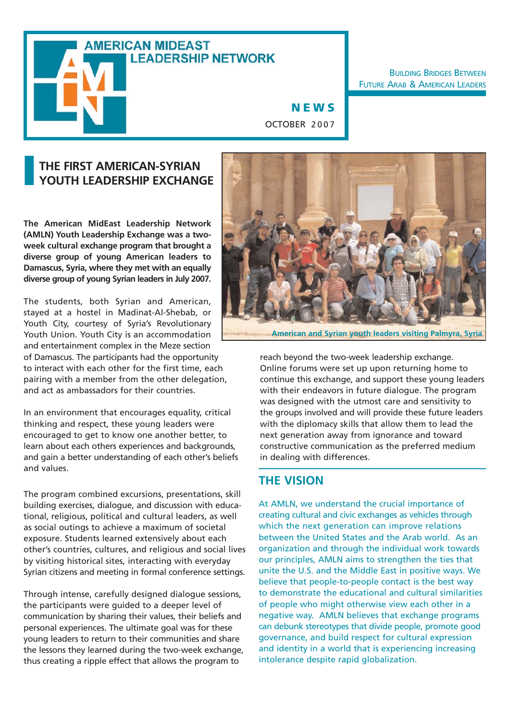# **AMERICAN MIDEAST LEADERSHIP NETWORK**

**BUILDING BRIDGES BETWEEN** FUTURE ARAB & AMERICAN LEADERS

**NEWS** OCTOBER 2007

# **THE FIRST AMERICAN-SYRIAN YOUTH LEADERSHIP EXCHANGE**

❙

**The American MidEast Leadership Network (AMLN) Youth Leadership Exchange was a twoweek cultural exchange program that brought a diverse group of young American leaders to Damascus, Syria, where they met with an equally diverse group of young Syrian leaders in July 2007.**

The students, both Syrian and American, stayed at a hostel in Madinat-Al-Shebab, or Youth City, courtesy of Syria's Revolutionary Youth Union. Youth City is an accommodation and entertainment complex in the Meze section of Damascus. The participants had the opportunity to interact with each other for the first time, each pairing with a member from the other delegation, and act as ambassadors for their countries.

In an environment that encourages equality, critical thinking and respect, these young leaders were encouraged to get to know one another better, to learn about each others experiences and backgrounds, and gain a better understanding of each other's beliefs and values.

The program combined excursions, presentations, skill building exercises, dialogue, and discussion with educational, religious, political and cultural leaders, as well as social outings to achieve a maximum of societal exposure. Students learned extensively about each other's countries, cultures, and religious and social lives by visiting historical sites, interacting with everyday Syrian citizens and meeting in formal conference settings.

Through intense, carefully designed dialogue sessions, the participants were guided to a deeper level of communication by sharing their values, their beliefs and personal experiences. The ultimate goal was for these young leaders to return to their communities and share the lessons they learned during the two-week exchange, thus creating a ripple effect that allows the program to



**American and Syrian youth leaders visiting Palmyra, Syria**

reach beyond the two-week leadership exchange. Online forums were set up upon returning home to continue this exchange, and support these young leaders with their endeavors in future dialogue. The program was designed with the utmost care and sensitivity to the groups involved and will provide these future leaders with the diplomacy skills that allow them to lead the next generation away from ignorance and toward constructive communication as the preferred medium in dealing with differences.

#### **THE VISION**

At AMLN, we understand the crucial importance of creating cultural and civic exchanges as vehicles through which the next generation can improve relations between the United States and the Arab world. As an organization and through the individual work towards our principles, AMLN aims to strengthen the ties that unite the U.S. and the Middle East in positive ways. We believe that people-to-people contact is the best way to demonstrate the educational and cultural similarities of people who might otherwise view each other in a negative way. AMLN believes that exchange programs can debunk stereotypes that divide people, promote good governance, and build respect for cultural expression and identity in a world that is experiencing increasing intolerance despite rapid globalization.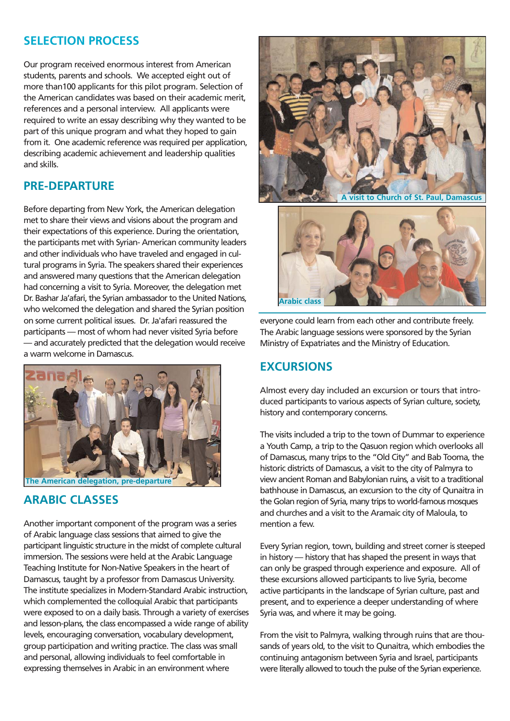# **SELECTION PROCESS**

Our program received enormous interest from American students, parents and schools. We accepted eight out of more than100 applicants for this pilot program. Selection of the American candidates was based on their academic merit, references and a personal interview. All applicants were required to write an essay describing why they wanted to be part of this unique program and what they hoped to gain from it. One academic reference was required per application, describing academic achievement and leadership qualities and skills.

### **PRE-DEPARTURE**

Before departing from New York, the American delegation met to share their views and visions about the program and their expectations of this experience. During the orientation, the participants met with Syrian- American community leaders and other individuals who have traveled and engaged in cultural programs in Syria. The speakers shared their experiences and answered many questions that the American delegation had concerning a visit to Syria. Moreover, the delegation met Dr. Bashar Ja'afari, the Syrian ambassador to the United Nations, who welcomed the delegation and shared the Syrian position on some current political issues. Dr. Ja'afari reassured the participants — most of whom had never visited Syria before — and accurately predicted that the delegation would receive a warm welcome in Damascus.



# **ARABIC CLASSES**

Another important component of the program was a series of Arabic language class sessions that aimed to give the participant linguistic structure in the midst of complete cultural immersion. The sessions were held at the Arabic Language Teaching Institute for Non-Native Speakers in the heart of Damascus, taught by a professor from Damascus University. The institute specializes in Modern-Standard Arabic instruction, which complemented the colloquial Arabic that participants were exposed to on a daily basis. Through a variety of exercises and lesson-plans, the class encompassed a wide range of ability levels, encouraging conversation, vocabulary development, group participation and writing practice. The class was small and personal, allowing individuals to feel comfortable in expressing themselves in Arabic in an environment where



**Arabic class**

everyone could learn from each other and contribute freely. The Arabic language sessions were sponsored by the Syrian Ministry of Expatriates and the Ministry of Education.

## **EXCURSIONS**

Almost every day included an excursion or tours that introduced participants to various aspects of Syrian culture, society, history and contemporary concerns.

The visits included a trip to the town of Dummar to experience a Youth Camp, a trip to the Qasuon region which overlooks all of Damascus, many trips to the "Old City" and Bab Tooma, the historic districts of Damascus, a visit to the city of Palmyra to view ancient Roman and Babylonian ruins, a visit to a traditional bathhouse in Damascus, an excursion to the city of Qunaitra in the Golan region of Syria, many trips to world-famous mosques and churches and a visit to the Aramaic city of Maloula, to mention a few.

Every Syrian region, town, building and street corner is steeped in history — history that has shaped the present in ways that can only be grasped through experience and exposure. All of these excursions allowed participants to live Syria, become active participants in the landscape of Syrian culture, past and present, and to experience a deeper understanding of where Syria was, and where it may be going.

From the visit to Palmyra, walking through ruins that are thousands of years old, to the visit to Qunaitra, which embodies the continuing antagonism between Syria and Israel, participants were literally allowed to touch the pulse of the Syrian experience.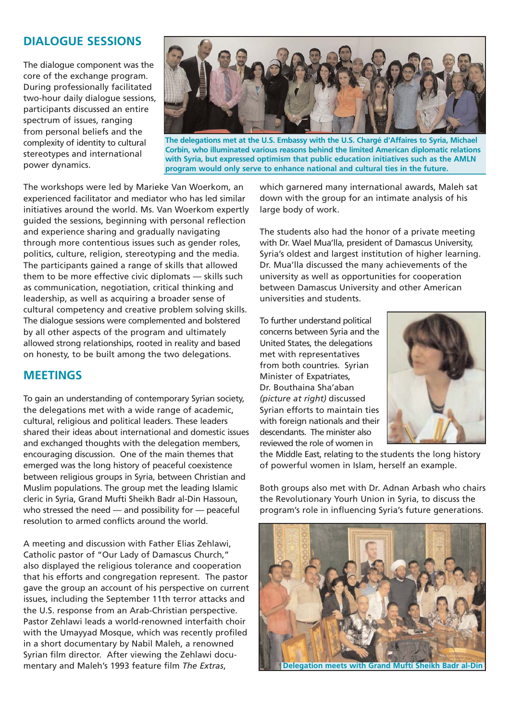# **DIALOGUE SESSIONS**

The dialogue component was the core of the exchange program. During professionally facilitated two-hour daily dialogue sessions, participants discussed an entire spectrum of issues, ranging from personal beliefs and the complexity of identity to cultural stereotypes and international power dynamics.



**The delegations met at the U.S. Embassy with the U.S. Chargé d'Affaires to Syria, Michael Corbin, who illuminated various reasons behind the limited American diplomatic relations with Syria, but expressed optimism that public education initiatives such as the AMLN program would only serve to enhance national and cultural ties in the future.** 

The workshops were led by Marieke Van Woerkom, an experienced facilitator and mediator who has led similar initiatives around the world. Ms. Van Woerkom expertly guided the sessions, beginning with personal reflection and experience sharing and gradually navigating through more contentious issues such as gender roles, politics, culture, religion, stereotyping and the media. The participants gained a range of skills that allowed them to be more effective civic diplomats — skills such as communication, negotiation, critical thinking and leadership, as well as acquiring a broader sense of cultural competency and creative problem solving skills. The dialogue sessions were complemented and bolstered by all other aspects of the program and ultimately allowed strong relationships, rooted in reality and based on honesty, to be built among the two delegations.

#### **MEETINGS**

To gain an understanding of contemporary Syrian society, the delegations met with a wide range of academic, cultural, religious and political leaders. These leaders shared their ideas about international and domestic issues and exchanged thoughts with the delegation members, encouraging discussion. One of the main themes that emerged was the long history of peaceful coexistence between religious groups in Syria, between Christian and Muslim populations. The group met the leading Islamic cleric in Syria, Grand Mufti Sheikh Badr al-Din Hassoun, who stressed the need — and possibility for — peaceful resolution to armed conflicts around the world.

A meeting and discussion with Father Elias Zehlawi, Catholic pastor of "Our Lady of Damascus Church," also displayed the religious tolerance and cooperation that his efforts and congregation represent. The pastor gave the group an account of his perspective on current issues, including the September 11th terror attacks and the U.S. response from an Arab-Christian perspective. Pastor Zehlawi leads a world-renowned interfaith choir with the Umayyad Mosque, which was recently profiled in a short documentary by Nabil Maleh, a renowned Syrian film director. After viewing the Zehlawi documentary and Maleh's 1993 feature film *The Extras*,

which garnered many international awards, Maleh sat down with the group for an intimate analysis of his large body of work.

The students also had the honor of a private meeting with Dr. Wael Mua'lla, president of Damascus University, Syria's oldest and largest institution of higher learning. Dr. Mua'lla discussed the many achievements of the university as well as opportunities for cooperation between Damascus University and other American universities and students.

To further understand political concerns between Syria and the United States, the delegations met with representatives from both countries. Syrian Minister of Expatriates, Dr. Bouthaina Sha'aban *(picture at right)* discussed Syrian efforts to maintain ties with foreign nationals and their descendants. The minister also reviewed the role of women in



the Middle East, relating to the students the long history of powerful women in Islam, herself an example.

Both groups also met with Dr. Adnan Arbash who chairs the Revolutionary Yourh Union in Syria, to discuss the program's role in influencing Syria's future generations.



**Delegation meets with Grand Mufti Sheikh Badr al-Din**